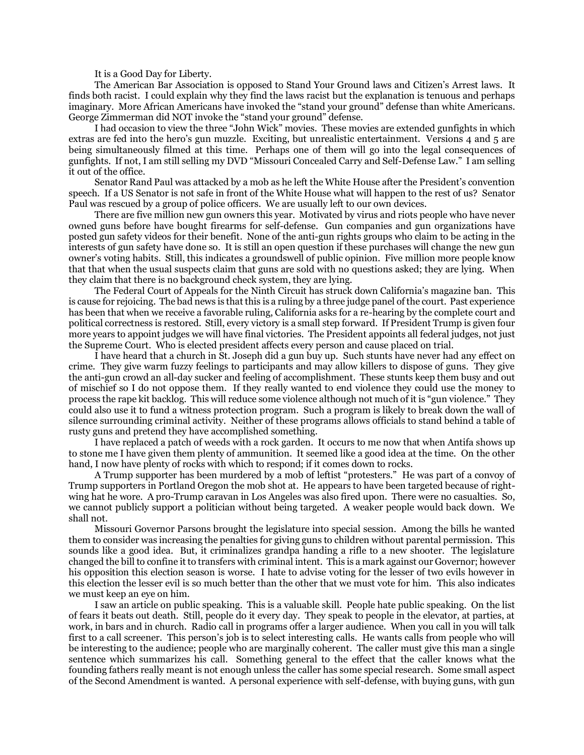It is a Good Day for Liberty.

The American Bar Association is opposed to Stand Your Ground laws and Citizen's Arrest laws. It finds both racist. I could explain why they find the laws racist but the explanation is tenuous and perhaps imaginary. More African Americans have invoked the "stand your ground" defense than white Americans. George Zimmerman did NOT invoke the "stand your ground" defense.

I had occasion to view the three "John Wick" movies. These movies are extended gunfights in which extras are fed into the hero's gun muzzle. Exciting, but unrealistic entertainment. Versions 4 and 5 are being simultaneously filmed at this time. Perhaps one of them will go into the legal consequences of gunfights. If not, I am still selling my DVD "Missouri Concealed Carry and Self-Defense Law." I am selling it out of the office.

Senator Rand Paul was attacked by a mob as he left the White House after the President's convention speech. If a US Senator is not safe in front of the White House what will happen to the rest of us? Senator Paul was rescued by a group of police officers. We are usually left to our own devices.

There are five million new gun owners this year. Motivated by virus and riots people who have never owned guns before have bought firearms for self-defense. Gun companies and gun organizations have posted gun safety videos for their benefit. None of the anti-gun rights groups who claim to be acting in the interests of gun safety have done so. It is still an open question if these purchases will change the new gun owner's voting habits. Still, this indicates a groundswell of public opinion. Five million more people know that that when the usual suspects claim that guns are sold with no questions asked; they are lying. When they claim that there is no background check system, they are lying.

The Federal Court of Appeals for the Ninth Circuit has struck down California's magazine ban. This is cause for rejoicing. The bad news is that this is a ruling by a three judge panel of the court. Past experience has been that when we receive a favorable ruling, California asks for a re-hearing by the complete court and political correctness is restored. Still, every victory is a small step forward. If President Trump is given four more years to appoint judges we will have final victories. The President appoints all federal judges, not just the Supreme Court. Who is elected president affects every person and cause placed on trial.

I have heard that a church in St. Joseph did a gun buy up. Such stunts have never had any effect on crime. They give warm fuzzy feelings to participants and may allow killers to dispose of guns. They give the anti-gun crowd an all-day sucker and feeling of accomplishment. These stunts keep them busy and out of mischief so I do not oppose them. If they really wanted to end violence they could use the money to process the rape kit backlog. This will reduce some violence although not much of it is "gun violence." They could also use it to fund a witness protection program. Such a program is likely to break down the wall of silence surrounding criminal activity. Neither of these programs allows officials to stand behind a table of rusty guns and pretend they have accomplished something.

I have replaced a patch of weeds with a rock garden. It occurs to me now that when Antifa shows up to stone me I have given them plenty of ammunition. It seemed like a good idea at the time. On the other hand, I now have plenty of rocks with which to respond; if it comes down to rocks.

A Trump supporter has been murdered by a mob of leftist "protesters." He was part of a convoy of Trump supporters in Portland Oregon the mob shot at. He appears to have been targeted because of rightwing hat he wore. A pro-Trump caravan in Los Angeles was also fired upon. There were no casualties. So, we cannot publicly support a politician without being targeted. A weaker people would back down. We shall not.

Missouri Governor Parsons brought the legislature into special session. Among the bills he wanted them to consider was increasing the penalties for giving guns to children without parental permission. This sounds like a good idea. But, it criminalizes grandpa handing a rifle to a new shooter. The legislature changed the bill to confine it to transfers with criminal intent. This is a mark against our Governor; however his opposition this election season is worse. I hate to advise voting for the lesser of two evils however in this election the lesser evil is so much better than the other that we must vote for him. This also indicates we must keep an eye on him.

I saw an article on public speaking. This is a valuable skill. People hate public speaking. On the list of fears it beats out death. Still, people do it every day. They speak to people in the elevator, at parties, at work, in bars and in church. Radio call in programs offer a larger audience. When you call in you will talk first to a call screener. This person's job is to select interesting calls. He wants calls from people who will be interesting to the audience; people who are marginally coherent. The caller must give this man a single sentence which summarizes his call. Something general to the effect that the caller knows what the founding fathers really meant is not enough unless the caller has some special research. Some small aspect of the Second Amendment is wanted. A personal experience with self-defense, with buying guns, with gun